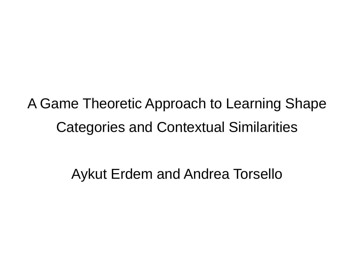A Game Theoretic Approach to Learning Shape Categories and Contextual Similarities

Aykut Erdem and Andrea Torsello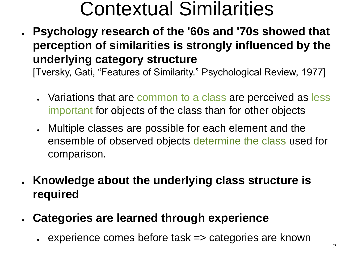#### Contextual Similarities

● **Psychology research of the '60s and '70s showed that perception of similarities is strongly influenced by the underlying category structure**

[Tversky, Gati, "Features of Similarity." Psychological Review, 1977]

- Variations that are common to a class are perceived as less important for objects of the class than for other objects
- Multiple classes are possible for each element and the ensemble of observed objects determine the class used for comparison.
- **Knowledge about the underlying class structure is required**
- **Categories are learned through experience**
	- $\cdot$  experience comes before task  $\Rightarrow$  categories are known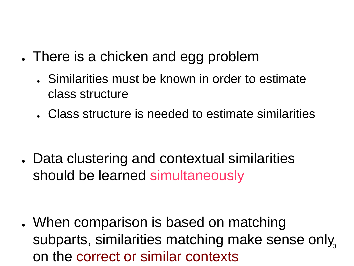- . There is a chicken and egg problem
	- Similarities must be known in order to estimate class structure
	- Class structure is needed to estimate similarities

• Data clustering and contextual similarities should be learned simultaneously

subparts, similarities matching make sense only, • When comparison is based on matching on the correct or similar contexts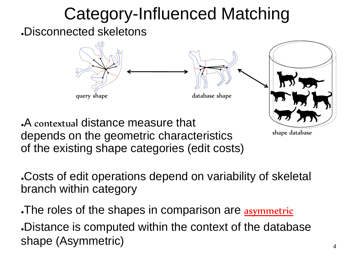### Category-Influenced Matching

.Disconnected skeletons



depends on the geometric characteristics of the existing shape categories (edit costs)

shape database

Costs of edit operations depend on variability of skeletal branch within category

The roles of the shapes in comparison are asymmetric . Distance is computed within the context of the database shape (Asymmetric)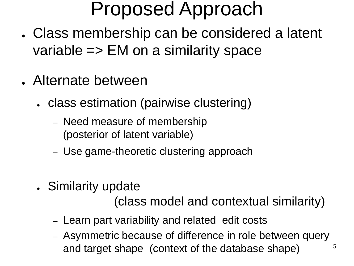#### Proposed Approach

- . Class membership can be considered a latent variable => EM on a similarity space
- . Alternate between
	- class estimation (pairwise clustering)
		- Need measure of membership (posterior of latent variable)
		- Use game-theoretic clustering approach
	- Similarity update

(class model and contextual similarity)

- Learn part variability and related edit costs
- 5 – Asymmetric because of difference in role between query and target shape (context of the database shape)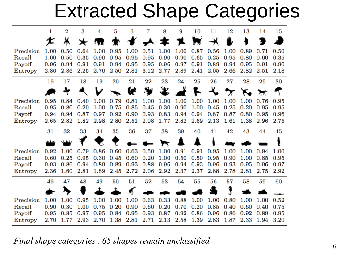#### Extracted Shape Categories

|                   | 1            | 2            | 3            | 4            | 5            | 6            | 7            | 8    | 9                 | 10               | 11           | 12           | 13           | 14           | 15           |
|-------------------|--------------|--------------|--------------|--------------|--------------|--------------|--------------|------|-------------------|------------------|--------------|--------------|--------------|--------------|--------------|
|                   |              | ⋇            | ∗            | $\mathbf{u}$ | Т            | $\bigstar$   | $\star$      | ≉    | x                 |                  |              |              |              |              |              |
| Precision         | 1.00         | 0.50         | 0.64         | 1.00         | 0.95         | 1.00         | 0.51         | 1.00 | 1.00              | 0.87             | 0.56         | 1.00         | 0.89         | 0.71         | 0.50         |
| Recall            | 1.00         | 0.50         | 0.35         | 0.90         | 0.95         | 0.95         | 0.95         | 0.90 | 0.90              | 0.65             | 0.25         | 0.95         | 0.80         | 0.60         | 0.35         |
| Payoff            | 0.96         | 0.94         | 0.91         | 0.91         | 0.94         | 0.95         | 0.95         | 0.96 | 0.97              | 0.91             | 0.89         | 0.94         | 0.95         | 0.91         | 0.90         |
| Entropy           | 2.86         | 2.86         | 2.25         | 2.70         | 2.50         | 2.81         | 3.12         | 2.77 | 2.89              | 2.41             | 2.05         | 2.66         | 2.82         | 2.51         | 2.18         |
|                   | 16           | 17           | 18           | 19           | 20           | 21           | 22           | 23   | 24                | 25               | 26           | 27           | 28           | 29           | 30           |
|                   |              |              |              |              |              | œ            | تؤلا         | ₩    |                   | $\mathbf{r}$     |              |              |              |              |              |
| Precision         | 0.95         | 0.84         | 0.40         | 1.00         | 0.79         | 0.81         | 1.00         | 1.00 | 1.00              | 1.00             | 1.00         | 1.00         | 1.00         | 0.76         | 0.95         |
| Recall            | 0.95         | 0.80         | 0.20         | 1.00         | 0.75         | 0.85         | 0.45         | 0.30 | 0.90              | 1.00             | 0.45         | 0.25         | 0.20         | 0.95         | 0.95         |
| Payoff            | 0.94         | 0.94         | 0.87         | 0.97         | 0.92         | 0.90         | 0.93         | 0.83 | 0.94              | 0.94             | 0.87         | 0.87         | 0.80         | 0.95         | 0.96         |
| Entropy           | 2.65         | 2.82         | 1.82         | 2.98         | 2.80         | 2.51         | 2.08         | 1.77 | 2.82              | 2.69             | 2.13         | 1.61         | 1.38         | 2.96         | 2.75         |
|                   |              |              |              |              |              |              |              |      |                   |                  |              |              |              |              |              |
|                   | 31           | 32           | 33           | 34           | 35           | 36           | 37           | 38   | 39                | 40               | 41           | 42           | 43           | 44           | 45           |
|                   |              |              |              |              |              |              | $\sim \pi$   |      |                   |                  |              |              |              |              |              |
| Precision         | 0.92         | 1.00         | 0.79         | 0.86         | 0.60         | 0.63         | 0.50         | 1.00 | 0.91              | 0.91             | 0.95         | 1.00         | 1.00         | 0.94         | 1.00         |
| Recall            | 0.60         | 0.25         | 0.95         | 0.30         | 0.45         | 0.60         | 0.20         | 1.00 | 0.50              | 0.50             | 0.95         | 0.90         | 1.00         | 0.85         | 0.95         |
| Payoff            | 0.93         | 0.86         | 0.94         | 0.89         | 0.89         | 0.93         | 0.88         | 0.96 | 0.94              | 0.93             | 0.96         | 0.93         | 0.95         | 0.96         | 0.97         |
| Entropy           | 2.36         | 1.60         | 2.81         | 1.89         | 2.45         | 2.72         | 2.06         | 2.92 | 2.37              | 2.37             | 2.88         | 2.78         | 2.81         | 2.75         | 2.92         |
|                   | 46           | 47           | 48           | 49           | 50           | 51           | 52           | 53   | 54                | 55               | 56           | 57           | 58           | 59           | 60           |
|                   |              |              |              |              |              |              |              |      |                   |                  |              |              |              |              |              |
| Precision         | 1.00         | 1.00         | 0.95         | 1.00         | 1.00         | 1.00         | 0.63         | 0.33 | 0.88              | 1.00             | 1.00         | 0.80         | 1.00         | 1.00         | 0.52         |
| Recall            | 0.90         | 0.30         | 1.00         | 0.75         | 0.20         | 0.90         | 0.60         | 0.20 | 0.70              | 0.20             | 0.85         | 0.40         | 0.60         | 0.40         | 0.75         |
| Payoff<br>Entropy | 0.95<br>2.70 | 0.85<br>1.77 | 0.97<br>2.93 | 0.95<br>2.70 | 0.84<br>1.38 | 0.95<br>2.81 | 0.93<br>2.71 | 0.87 | 0.92<br>2.13 2.58 | 0.86<br>$1.39\,$ | 0.96<br>2.83 | 0.86<br>1.87 | 0.92<br>2.33 | 0.89<br>1.94 | 0.95<br>3.20 |

*Final shape categories . 65 shapes remain unclassified*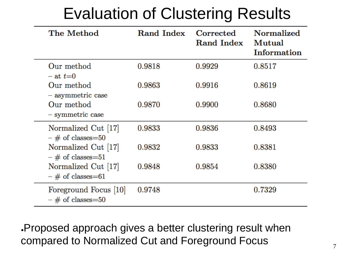| The Method                                   | Rand Index | Corrected<br><b>Rand Index</b> | <b>Normalized</b><br>Mutual<br>Information |
|----------------------------------------------|------------|--------------------------------|--------------------------------------------|
| Our method<br>$-$ at $t=0$                   | 0.9818     | 0.9929                         | 0.8517                                     |
| Our method<br>- asymmetric case              | 0.9863     | 0.9916                         | 0.8619                                     |
| Our method<br>$-$ symmetric case             | 0.9870     | 0.9900                         | 0.8680                                     |
| Normalized Cut [17]<br>$-$ # of classes=50   | 0.9833     | 0.9836                         | 0.8493                                     |
| Normalized Cut [17]<br>$-$ # of classes=51   | 0.9832     | 0.9833                         | 0.8381                                     |
| Normalized Cut [17]<br>$-$ # of classes=61   | 0.9848     | 0.9854                         | 0.8380                                     |
| Foreground Focus [10]<br>$-$ # of classes=50 | 0.9748     |                                | 0.7329                                     |

.Proposed approach gives a better clustering result when compared to Normalized Cut and Foreground Focus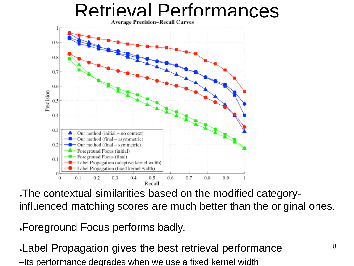# Retrieval Performances



●The contextual similarities based on the modified categoryinfluenced matching scores are much better than the original ones.

●Foreground Focus performs badly.

. Label Propagation gives the best retrieval performance –Its performance degrades when we use a fixed kernel width